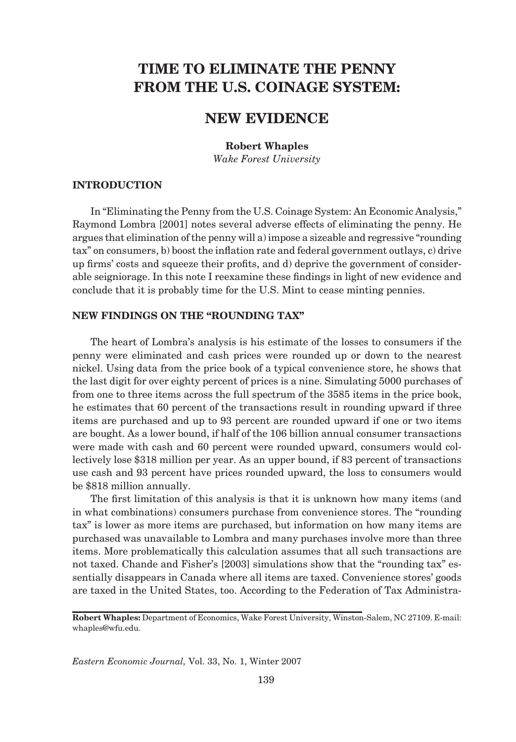# **TIME TO ELIMINATE THE PENNY FROM THE U.S. COINAGE SYSTEM:**

## **NEW EVIDENCE**

**Robert Whaples**

*Wake Forest University*

### **INTRODUCTION**

In "Eliminating the Penny from the U.S. Coinage System: An Economic Analysis," Raymond Lombra [2001] notes several adverse effects of eliminating the penny. He argues that elimination of the penny will a) impose a sizeable and regressive "rounding  $\text{tax}$ " on consumers, b) boost the inflation rate and federal government outlays, c) drive up firms' costs and squeeze their profits, and  $d$ ) deprive the government of considerable seigniorage. In this note I reexamine these findings in light of new evidence and conclude that it is probably time for the U.S. Mint to cease minting pennies.

#### **NEW FINDINGS ON THE "ROUNDING TAX"**

The heart of Lombra's analysis is his estimate of the losses to consumers if the penny were eliminated and cash prices were rounded up or down to the nearest nickel. Using data from the price book of a typical convenience store, he shows that the last digit for over eighty percent of prices is a nine. Simulating 5000 purchases of from one to three items across the full spectrum of the 3585 items in the price book, he estimates that 60 percent of the transactions result in rounding upward if three items are purchased and up to 93 percent are rounded upward if one or two items are bought. As a lower bound, if half of the 106 billion annual consumer transactions were made with cash and 60 percent were rounded upward, consumers would collectively lose \$318 million per year. As an upper bound, if 83 percent of transactions use cash and 93 percent have prices rounded upward, the loss to consumers would be \$818 million annually.

The first limitation of this analysis is that it is unknown how many items (and in what combinations) consumers purchase from convenience stores. The "rounding tax" is lower as more items are purchased, but information on how many items are purchased was unavailable to Lombra and many purchases involve more than three items. More problematically this calculation assumes that all such transactions are not taxed. Chande and Fisher's [2003] simulations show that the "rounding tax" essentially disappears in Canada where all items are taxed. Convenience stores' goods are taxed in the United States, too. According to the Federation of Tax Administra-

**Robert Whaples:** Department of Economics, Wake Forest University, Winston-Salem, NC 27109. E-mail: whaples@wfu.edu.

*Eastern Economic Journal,* Vol. 33, No. 1, Winter 2007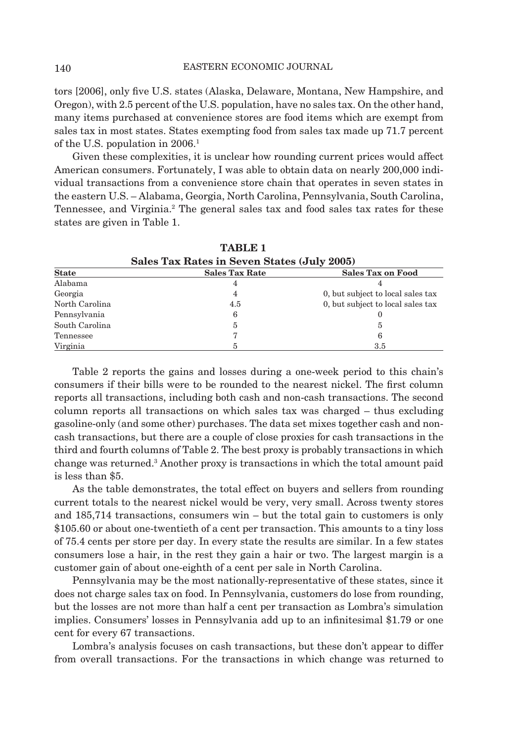tors [2006], only five U.S. states (Alaska, Delaware, Montana, New Hampshire, and Oregon), with 2.5 percent of the U.S. population, have no sales tax. On the other hand, many items purchased at convenience stores are food items which are exempt from sales tax in most states. States exempting food from sales tax made up 71.7 percent of the U.S. population in 2006.1

Given these complexities, it is unclear how rounding current prices would affect American consumers. Fortunately, I was able to obtain data on nearly 200,000 individual transactions from a convenience store chain that operates in seven states in the eastern U.S. – Alabama, Georgia, North Carolina, Pennsylvania, South Carolina, Tennessee, and Virginia.<sup>2</sup> The general sales tax and food sales tax rates for these states are given in Table 1.

| Sales Tax Rates in Seven States (July 2005) |                       |                                   |  |  |  |  |
|---------------------------------------------|-----------------------|-----------------------------------|--|--|--|--|
| <b>State</b>                                | <b>Sales Tax Rate</b> | <b>Sales Tax on Food</b>          |  |  |  |  |
| Alabama                                     | 4                     |                                   |  |  |  |  |
| Georgia                                     | 4                     | 0, but subject to local sales tax |  |  |  |  |
| North Carolina                              | 4.5                   | 0, but subject to local sales tax |  |  |  |  |
| Pennsylvania                                | 6                     |                                   |  |  |  |  |
| South Carolina                              | 5                     | 5                                 |  |  |  |  |
| Tennessee                                   |                       | 6                                 |  |  |  |  |
| Virginia                                    |                       | 3.5                               |  |  |  |  |

 **TABLE 1**

Table 2 reports the gains and losses during a one-week period to this chain's consumers if their bills were to be rounded to the nearest nickel. The first column reports all transactions, including both cash and non-cash transactions. The second column reports all transactions on which sales tax was charged – thus excluding gasoline-only (and some other) purchases. The data set mixes together cash and noncash transactions, but there are a couple of close proxies for cash transactions in the third and fourth columns of Table 2. The best proxy is probably transactions in which change was returned.3 Another proxy is transactions in which the total amount paid is less than \$5.

As the table demonstrates, the total effect on buyers and sellers from rounding current totals to the nearest nickel would be very, very small. Across twenty stores and 185,714 transactions, consumers win – but the total gain to customers is only \$105.60 or about one-twentieth of a cent per transaction. This amounts to a tiny loss of 75.4 cents per store per day. In every state the results are similar. In a few states consumers lose a hair, in the rest they gain a hair or two. The largest margin is a customer gain of about one-eighth of a cent per sale in North Carolina.

Pennsylvania may be the most nationally-representative of these states, since it does not charge sales tax on food. In Pennsylvania, customers do lose from rounding, but the losses are not more than half a cent per transaction as Lombra's simulation implies. Consumers' losses in Pennsylvania add up to an infinitesimal \$1.79 or one cent for every 67 transactions.

Lombra's analysis focuses on cash transactions, but these don't appear to differ from overall transactions. For the transactions in which change was returned to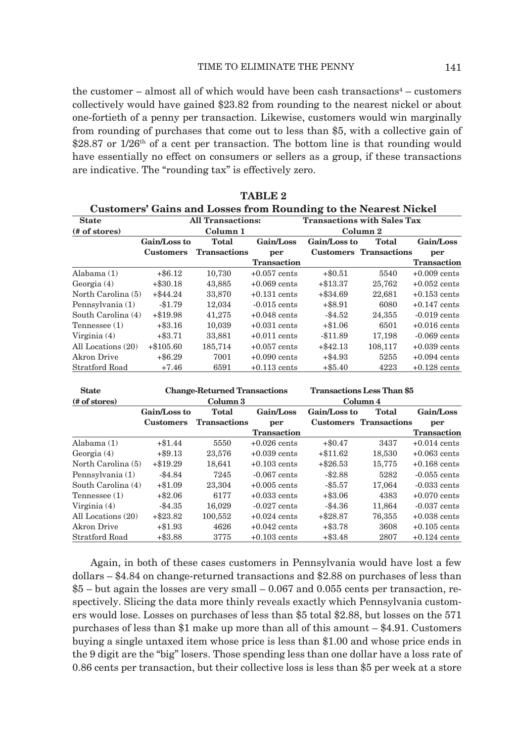the customer – almost all of which would have been cash transactions<sup>4</sup> – customers collectively would have gained \$23.82 from rounding to the nearest nickel or about one-fortieth of a penny per transaction. Likewise, customers would win marginally from rounding of purchases that come out to less than \$5, with a collective gain of \$28.87 or  $1/26$ <sup>th</sup> of a cent per transaction. The bottom line is that rounding would have essentially no effect on consumers or sellers as a group, if these transactions are indicative. The "rounding tax" is effectively zero.

 **TABLE 2**

| <b>Customers' Gains and Losses from Rounding to the Nearest Nickel</b> |                  |                          |                    |                                    |                               |                    |  |  |
|------------------------------------------------------------------------|------------------|--------------------------|--------------------|------------------------------------|-------------------------------|--------------------|--|--|
| <b>State</b>                                                           |                  | <b>All Transactions:</b> |                    | <b>Transactions with Sales Tax</b> |                               |                    |  |  |
| (# of stores)                                                          | Column 1         |                          |                    | Column 2                           |                               |                    |  |  |
|                                                                        | Gain/Loss to     | Total                    | Gain/Loss          | Gain/Loss to                       | <b>Total</b>                  | Gain/Loss          |  |  |
|                                                                        | <b>Customers</b> | <b>Transactions</b>      | per                |                                    | <b>Customers</b> Transactions | per                |  |  |
|                                                                        |                  |                          | <b>Transaction</b> |                                    |                               | <b>Transaction</b> |  |  |
| Alabama $(1)$                                                          | $+$ \$6.12       | 10,730                   | $+0.057$ cents     | $+\$0.51$                          | 5540                          | $+0.009$ cents     |  |  |
| Georgia $(4)$                                                          | $+$ \$30.18      | 43,885                   | $+0.069$ cents     | $+\$13.37$                         | 25,762                        | $+0.052$ cents     |  |  |
| North Carolina (5)                                                     | $+$ \$44.24      | 33,870                   | $+0.131$ cents     | $+$ \$34.69                        | 22,681                        | $+0.153$ cents     |  |  |
| Pennsylvania (1)                                                       | $-$1.79$         | 12,034                   | $-0.015$ cents     | $+$ \$8.91                         | 6080                          | $+0.147$ cents     |  |  |
| South Carolina (4)                                                     | $+\$19.98$       | 41,275                   | $+0.048$ cents     | $-$ \$4.52                         | 24,355                        | $-0.019$ cents     |  |  |
| $T$ ennessee $(1)$                                                     | $+$ \$3.16       | 10.039                   | $+0.031$ cents     | $+\$1.06$                          | 6501                          | $+0.016$ cents     |  |  |
| Virginia $(4)$                                                         | $+$ \$3.71       | 33,881                   | $+0.011$ cents     | $-11.89$                           | 17,198                        | $-0.069$ cents     |  |  |
| All Locations (20)                                                     | $+\$105.60$      | 185,714                  | $+0.057$ cents     | $+$ \$42.13                        | 108,117                       | $+0.039$ cents     |  |  |
| Akron Drive                                                            | $+$ \$6.29       | 7001                     | $+0.090$ cents     | $+$ \$4.93                         | 5255                          | $+0.094$ cents     |  |  |
| Stratford Road                                                         | $+7.46$          | 6591                     | $+0.113$ cents     | $+$ \$5.40                         | 4223                          | $+0.128$ cents     |  |  |

| <b>State</b>       | <b>Change-Returned Transactions</b><br>Column 3 |                     |                | <b>Transactions Less Than \$5</b> |                               |                    |
|--------------------|-------------------------------------------------|---------------------|----------------|-----------------------------------|-------------------------------|--------------------|
| (# of stores)      |                                                 |                     |                | Column 4                          |                               |                    |
|                    | Gain/Loss to                                    | <b>Total</b>        | Gain/Loss      | Gain/Loss to                      | <b>Total</b>                  | Gain/Loss          |
|                    | <b>Customers</b>                                | <b>Transactions</b> | per            |                                   | <b>Customers</b> Transactions | per                |
|                    |                                                 |                     | Transaction    |                                   |                               | <b>Transaction</b> |
| Alabama $(1)$      | $+\$1.44$                                       | 5550                | $+0.026$ cents | $+\$0.47$                         | 3437                          | $+0.014$ cents     |
| Georgia $(4)$      | $+$ \$9.13                                      | 23,576              | $+0.039$ cents | $+\$11.62$                        | 18.530                        | $+0.063$ cents     |
| North Carolina (5) | $+\$19.29$                                      | 18,641              | $+0.103$ cents | $+ $26.53$                        | 15,775                        | $+0.168$ cents     |
| Pennsylvania (1)   | $-$ \$4.84                                      | 7245                | $-0.067$ cents | $-$ \$2.88                        | 5282                          | $-0.055$ cents     |
| South Carolina (4) | $+\$1.09$                                       | 23,304              | $+0.005$ cents | $-$ \$5.57                        | 17,064                        | $-0.033$ cents     |
| $T$ ennessee $(1)$ | $+\$2.06$                                       | 6177                | $+0.033$ cents | $+$ \$3.06                        | 4383                          | $+0.070$ cents     |
| Virginia $(4)$     | $-$ \$4.35                                      | 16.029              | $-0.027$ cents | $-\$4.36$                         | 11.864                        | $-0.037$ cents     |
| All Locations (20) | $+$ \$23.82                                     | 100.552             | $+0.024$ cents | $+$ \$28.87                       | 76.355                        | $+0.038$ cents     |
| Akron Drive        | $+\$1.93$                                       | 4626                | $+0.042$ cents | $+$ \$3.78                        | 3608                          | $+0.105$ cents     |
| Stratford Road     | $+$ \$3.88                                      | 3775                | $+0.103$ cents | $+$ \$3.48                        | 2807                          | $+0.124$ cents     |

Again, in both of these cases customers in Pennsylvania would have lost a few dollars – \$4.84 on change-returned transactions and \$2.88 on purchases of less than \$5 – but again the losses are very small – 0.067 and 0.055 cents per transaction, respectively. Slicing the data more thinly reveals exactly which Pennsylvania customers would lose. Losses on purchases of less than \$5 total \$2.88, but losses on the 571 purchases of less than \$1 make up more than all of this amount – \$4.91. Customers buying a single untaxed item whose price is less than \$1.00 and whose price ends in the 9 digit are the "big" losers. Those spending less than one dollar have a loss rate of 0.86 cents per transaction, but their collective loss is less than \$5 per week at a store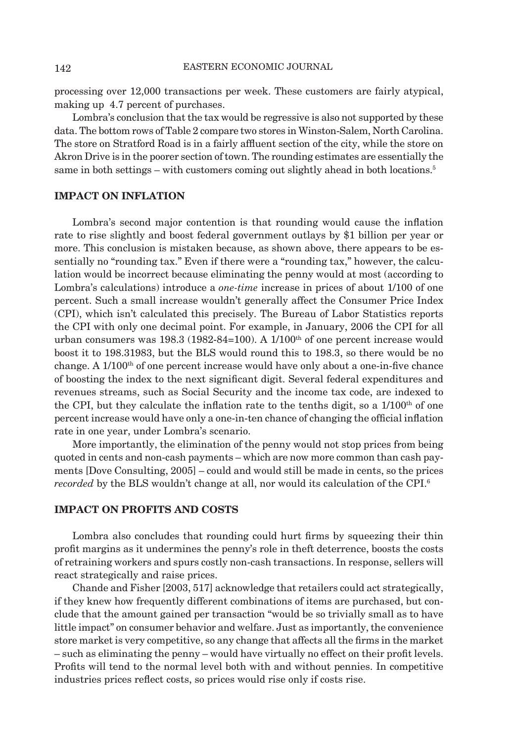processing over 12,000 transactions per week. These customers are fairly atypical, making up 4.7 percent of purchases.

Lombra's conclusion that the tax would be regressive is also not supported by these data. The bottom rows of Table 2 compare two stores in Winston-Salem, North Carolina. The store on Stratford Road is in a fairly affluent section of the city, while the store on Akron Drive is in the poorer section of town. The rounding estimates are essentially the same in both settings – with customers coming out slightly ahead in both locations.<sup>5</sup>

#### **IMPACT ON INFLATION**

Lombra's second major contention is that rounding would cause the inflation rate to rise slightly and boost federal government outlays by \$1 billion per year or more. This conclusion is mistaken because, as shown above, there appears to be essentially no "rounding tax." Even if there were a "rounding tax," however, the calculation would be incorrect because eliminating the penny would at most (according to Lombra's calculations) introduce a *one-time* increase in prices of about 1/100 of one percent. Such a small increase wouldn't generally affect the Consumer Price Index (CPI), which isn't calculated this precisely. The Bureau of Labor Statistics reports the CPI with only one decimal point. For example, in January, 2006 the CPI for all urban consumers was  $198.3$  (1982-84=100). A  $1/100<sup>th</sup>$  of one percent increase would boost it to 198.31983, but the BLS would round this to 198.3, so there would be no change. A  $1/100<sup>th</sup>$  of one percent increase would have only about a one-in-five chance of boosting the index to the next significant digit. Several federal expenditures and revenues streams, such as Social Security and the income tax code, are indexed to the CPI, but they calculate the inflation rate to the tenths digit, so a  $1/100<sup>th</sup>$  of one percent increase would have only a one-in-ten chance of changing the official inflation rate in one year, under Lombra's scenario.

More importantly, the elimination of the penny would not stop prices from being quoted in cents and non-cash payments – which are now more common than cash payments [Dove Consulting, 2005] – could and would still be made in cents, so the prices *recorded* by the BLS wouldn't change at all, nor would its calculation of the CPI.6

### **IMPACT ON PROFITS AND COSTS**

Lombra also concludes that rounding could hurt firms by squeezing their thin profit margins as it undermines the penny's role in the t deterrence, boosts the costs of retraining workers and spurs costly non-cash transactions. In response, sellers will react strategically and raise prices.

Chande and Fisher [2003, 517] acknowledge that retailers could act strategically, if they knew how frequently different combinations of items are purchased, but conclude that the amount gained per transaction "would be so trivially small as to have little impact" on consumer behavior and welfare. Just as importantly, the convenience store market is very competitive, so any change that affects all the firms in the market – such as eliminating the penny – would have virtually no effect on their profi t levels. Profits will tend to the normal level both with and without pennies. In competitive industries prices reflect costs, so prices would rise only if costs rise.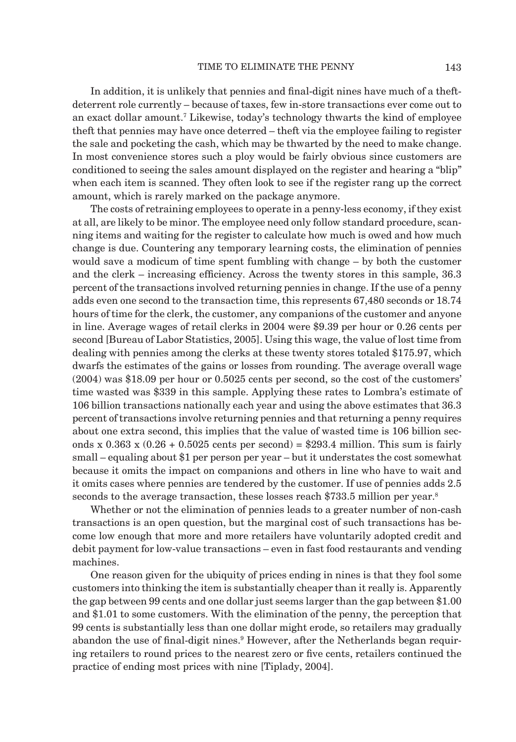In addition, it is unlikely that pennies and final-digit nines have much of a theftdeterrent role currently – because of taxes, few in-store transactions ever come out to an exact dollar amount.7 Likewise, today's technology thwarts the kind of employee theft that pennies may have once deterred – theft via the employee failing to register the sale and pocketing the cash, which may be thwarted by the need to make change. In most convenience stores such a ploy would be fairly obvious since customers are conditioned to seeing the sales amount displayed on the register and hearing a "blip" when each item is scanned. They often look to see if the register rang up the correct amount, which is rarely marked on the package anymore.

The costs of retraining employees to operate in a penny-less economy, if they exist at all, are likely to be minor. The employee need only follow standard procedure, scanning items and waiting for the register to calculate how much is owed and how much change is due. Countering any temporary learning costs, the elimination of pennies would save a modicum of time spent fumbling with change – by both the customer and the clerk – increasing efficiency. Across the twenty stores in this sample, 36.3 percent of the transactions involved returning pennies in change. If the use of a penny adds even one second to the transaction time, this represents 67,480 seconds or 18.74 hours of time for the clerk, the customer, any companions of the customer and anyone in line. Average wages of retail clerks in 2004 were \$9.39 per hour or 0.26 cents per second [Bureau of Labor Statistics, 2005]. Using this wage, the value of lost time from dealing with pennies among the clerks at these twenty stores totaled \$175.97, which dwarfs the estimates of the gains or losses from rounding. The average overall wage (2004) was \$18.09 per hour or 0.5025 cents per second, so the cost of the customers' time wasted was \$339 in this sample. Applying these rates to Lombra's estimate of 106 billion transactions nationally each year and using the above estimates that 36.3 percent of transactions involve returning pennies and that returning a penny requires about one extra second, this implies that the value of wasted time is 106 billion seconds x  $0.363$  x  $(0.26 + 0.5025$  cents per second) = \$293.4 million. This sum is fairly small – equaling about \$1 per person per year – but it understates the cost somewhat because it omits the impact on companions and others in line who have to wait and it omits cases where pennies are tendered by the customer. If use of pennies adds 2.5 seconds to the average transaction, these losses reach \$733.5 million per year.<sup>8</sup>

Whether or not the elimination of pennies leads to a greater number of non-cash transactions is an open question, but the marginal cost of such transactions has become low enough that more and more retailers have voluntarily adopted credit and debit payment for low-value transactions – even in fast food restaurants and vending machines.

One reason given for the ubiquity of prices ending in nines is that they fool some customers into thinking the item is substantially cheaper than it really is. Apparently the gap between 99 cents and one dollar just seems larger than the gap between \$1.00 and \$1.01 to some customers. With the elimination of the penny, the perception that 99 cents is substantially less than one dollar might erode, so retailers may gradually abandon the use of final-digit nines.<sup>9</sup> However, after the Netherlands began requiring retailers to round prices to the nearest zero or five cents, retailers continued the practice of ending most prices with nine [Tiplady, 2004].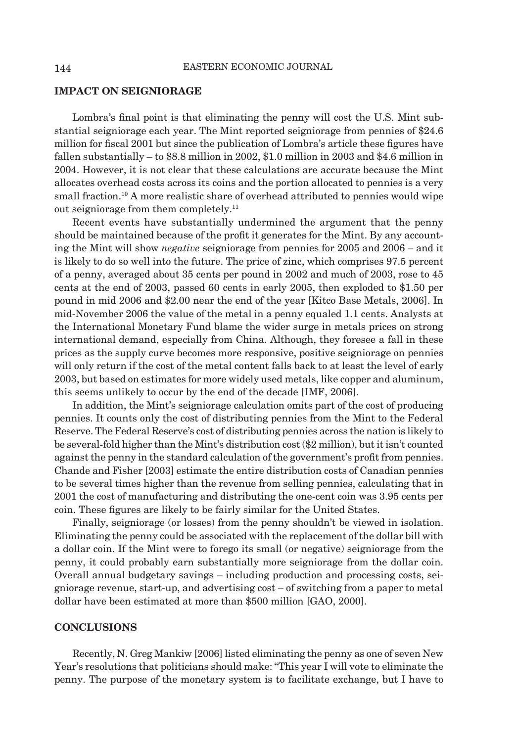#### **IMPACT ON SEIGNIORAGE**

Lombra's final point is that eliminating the penny will cost the U.S. Mint substantial seigniorage each year. The Mint reported seigniorage from pennies of \$24.6 million for fiscal 2001 but since the publication of Lombra's article these figures have fallen substantially – to \$8.8 million in 2002, \$1.0 million in 2003 and \$4.6 million in 2004. However, it is not clear that these calculations are accurate because the Mint allocates overhead costs across its coins and the portion allocated to pennies is a very small fraction.<sup>10</sup> A more realistic share of overhead attributed to pennies would wipe out seigniorage from them completely.11

Recent events have substantially undermined the argument that the penny should be maintained because of the profit it generates for the Mint. By any accounting the Mint will show *negative* seigniorage from pennies for 2005 and 2006 – and it is likely to do so well into the future. The price of zinc, which comprises 97.5 percent of a penny, averaged about 35 cents per pound in 2002 and much of 2003, rose to 45 cents at the end of 2003, passed 60 cents in early 2005, then exploded to \$1.50 per pound in mid 2006 and \$2.00 near the end of the year [Kitco Base Metals, 2006]. In mid-November 2006 the value of the metal in a penny equaled 1.1 cents. Analysts at the International Monetary Fund blame the wider surge in metals prices on strong international demand, especially from China. Although, they foresee a fall in these prices as the supply curve becomes more responsive, positive seigniorage on pennies will only return if the cost of the metal content falls back to at least the level of early 2003, but based on estimates for more widely used metals, like copper and aluminum, this seems unlikely to occur by the end of the decade [IMF, 2006].

In addition, the Mint's seigniorage calculation omits part of the cost of producing pennies. It counts only the cost of distributing pennies from the Mint to the Federal Reserve. The Federal Reserve's cost of distributing pennies across the nation is likely to be several-fold higher than the Mint's distribution cost (\$2 million), but it isn't counted against the penny in the standard calculation of the government's profit from pennies. Chande and Fisher [2003] estimate the entire distribution costs of Canadian pennies to be several times higher than the revenue from selling pennies, calculating that in 2001 the cost of manufacturing and distributing the one-cent coin was 3.95 cents per coin. These figures are likely to be fairly similar for the United States.

Finally, seigniorage (or losses) from the penny shouldn't be viewed in isolation. Eliminating the penny could be associated with the replacement of the dollar bill with a dollar coin. If the Mint were to forego its small (or negative) seigniorage from the penny, it could probably earn substantially more seigniorage from the dollar coin. Overall annual budgetary savings – including production and processing costs, seigniorage revenue, start-up, and advertising cost – of switching from a paper to metal dollar have been estimated at more than \$500 million [GAO, 2000].

#### **CONCLUSIONS**

Recently, N. Greg Mankiw [2006] listed eliminating the penny as one of seven New Year's resolutions that politicians should make: "This year I will vote to eliminate the penny. The purpose of the monetary system is to facilitate exchange, but I have to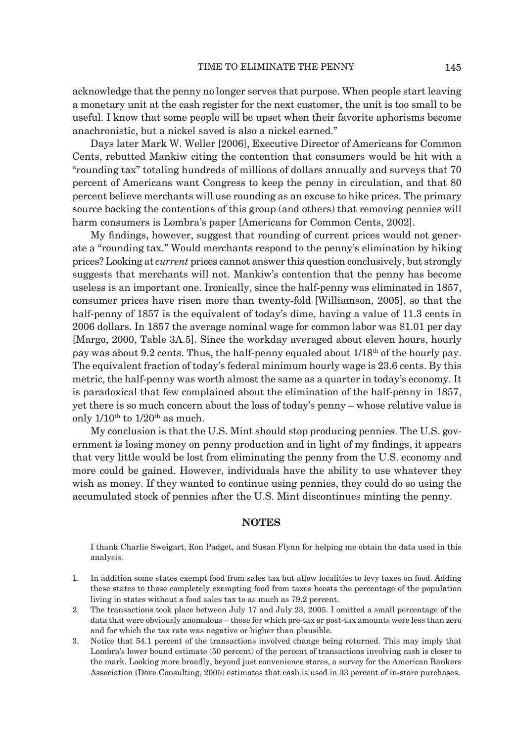acknowledge that the penny no longer serves that purpose. When people start leaving a monetary unit at the cash register for the next customer, the unit is too small to be useful. I know that some people will be upset when their favorite aphorisms become anachronistic, but a nickel saved is also a nickel earned."

Days later Mark W. Weller [2006], Executive Director of Americans for Common Cents, rebutted Mankiw citing the contention that consumers would be hit with a "rounding tax" totaling hundreds of millions of dollars annually and surveys that 70 percent of Americans want Congress to keep the penny in circulation, and that 80 percent believe merchants will use rounding as an excuse to hike prices. The primary source backing the contentions of this group (and others) that removing pennies will harm consumers is Lombra's paper [Americans for Common Cents, 2002].

My findings, however, suggest that rounding of current prices would not generate a "rounding tax." Would merchants respond to the penny's elimination by hiking prices? Looking at *current* prices cannot answer this question conclusively, but strongly suggests that merchants will not. Mankiw's contention that the penny has become useless is an important one. Ironically, since the half-penny was eliminated in 1857, consumer prices have risen more than twenty-fold [Williamson, 2005], so that the half-penny of 1857 is the equivalent of today's dime, having a value of 11.3 cents in 2006 dollars. In 1857 the average nominal wage for common labor was \$1.01 per day [Margo, 2000, Table 3A.5]. Since the workday averaged about eleven hours, hourly pay was about 9.2 cents. Thus, the half-penny equaled about 1/18th of the hourly pay. The equivalent fraction of today's federal minimum hourly wage is 23.6 cents. By this metric, the half-penny was worth almost the same as a quarter in today's economy. It is paradoxical that few complained about the elimination of the half-penny in 1857, yet there is so much concern about the loss of today's penny – whose relative value is only  $1/10^{th}$  to  $1/20^{th}$  as much.

My conclusion is that the U.S. Mint should stop producing pennies. The U.S. government is losing money on penny production and in light of my findings, it appears that very little would be lost from eliminating the penny from the U.S. economy and more could be gained. However, individuals have the ability to use whatever they wish as money. If they wanted to continue using pennies, they could do so using the accumulated stock of pennies after the U.S. Mint discontinues minting the penny.

#### **NOTES**

 I thank Charlie Sweigart, Ron Padget, and Susan Flynn for helping me obtain the data used in this analysis.

- 1. In addition some states exempt food from sales tax but allow localities to levy taxes on food. Adding these states to those completely exempting food from taxes boosts the percentage of the population living in states without a food sales tax to as much as 79.2 percent.
- 2. The transactions took place between July 17 and July 23, 2005. I omitted a small percentage of the data that were obviously anomalous – those for which pre-tax or post-tax amounts were less than zero and for which the tax rate was negative or higher than plausible.
- 3. Notice that 54.1 percent of the transactions involved change being returned. This may imply that Lombra's lower bound estimate (50 percent) of the percent of transactions involving cash is closer to the mark. Looking more broadly, beyond just convenience stores, a survey for the American Bankers Association (Dove Consulting, 2005) estimates that cash is used in 33 percent of in-store purchases.